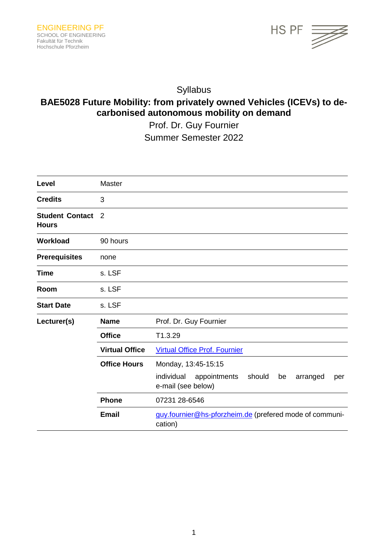

## Syllabus

# **BAE5028 Future Mobility: from privately owned Vehicles (ICEVs) to decarbonised autonomous mobility on demand**

Prof. Dr. Guy Fournier Summer Semester 2022

| Level                                  | <b>Master</b>         |                                                                                                            |
|----------------------------------------|-----------------------|------------------------------------------------------------------------------------------------------------|
| <b>Credits</b>                         | 3                     |                                                                                                            |
| <b>Student Contact</b><br><b>Hours</b> | $\overline{2}$        |                                                                                                            |
| Workload                               | 90 hours              |                                                                                                            |
| <b>Prerequisites</b>                   | none                  |                                                                                                            |
| <b>Time</b>                            | s. LSF                |                                                                                                            |
| Room                                   | s. LSF                |                                                                                                            |
| <b>Start Date</b>                      | s. LSF                |                                                                                                            |
| Lecturer(s)                            | <b>Name</b>           | Prof. Dr. Guy Fournier                                                                                     |
|                                        | <b>Office</b>         | T1.3.29                                                                                                    |
|                                        | <b>Virtual Office</b> | <b>Virtual Office Prof. Fournier</b>                                                                       |
|                                        | <b>Office Hours</b>   | Monday, 13:45-15:15<br>individual<br>should<br>appointments<br>be<br>arranged<br>per<br>e-mail (see below) |
|                                        | <b>Phone</b>          | 07231 28-6546                                                                                              |
|                                        | <b>Email</b>          | guy.fournier@hs-pforzheim.de (prefered mode of communi-<br>cation)                                         |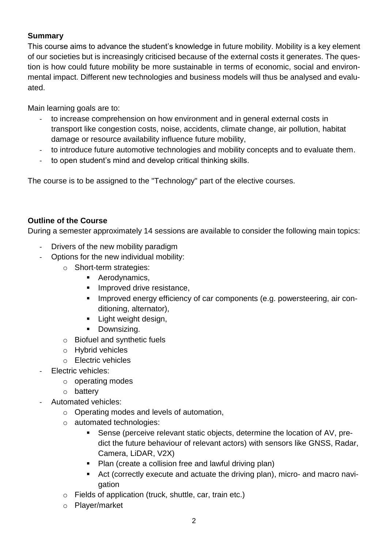# **Summary**

This course aims to advance the student's knowledge in future mobility. Mobility is a key element of our societies but is increasingly criticised because of the external costs it generates. The question is how could future mobility be more sustainable in terms of economic, social and environmental impact. Different new technologies and business models will thus be analysed and evaluated.

Main learning goals are to:

- to increase comprehension on how environment and in general external costs in transport like congestion costs, noise, accidents, climate change, air pollution, habitat damage or resource availability influence future mobility,
- to introduce future automotive technologies and mobility concepts and to evaluate them.
- to open student's mind and develop critical thinking skills.

The course is to be assigned to the "Technology" part of the elective courses.

# **Outline of the Course**

During a semester approximately 14 sessions are available to consider the following main topics:

- Drivers of the new mobility paradigm
- Options for the new individual mobility:
	- o Short-term strategies:
		- Aerodynamics,
		- **·** Improved drive resistance,
		- **·** Improved energy efficiency of car components (e.g. powersteering, air conditioning, alternator),
		- Light weight design,
		- **•** Downsizing.
	- o Biofuel and synthetic fuels
	- o Hybrid vehicles
	- o Electric vehicles
- Electric vehicles:
	- o operating modes
	- o battery
- Automated vehicles:
	- o Operating modes and levels of automation,
	- o automated technologies:
		- Sense (perceive relevant static objects, determine the location of AV, predict the future behaviour of relevant actors) with sensors like GNSS, Radar, Camera, LiDAR, V2X)
		- Plan (create a collision free and lawful driving plan)
		- Act (correctly execute and actuate the driving plan), micro- and macro navigation
	- o Fields of application (truck, shuttle, car, train etc.)
	- o Player/market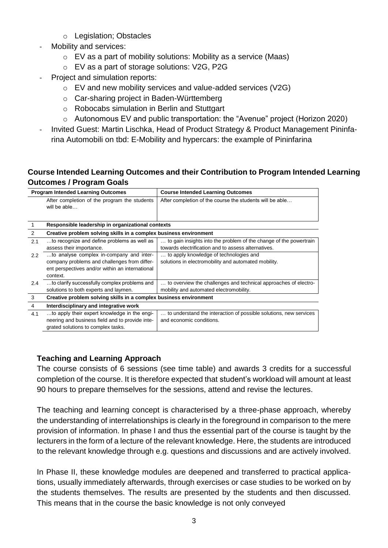- o Legislation; Obstacles
- Mobility and services:
	- o EV as a part of mobility solutions: Mobility as a service (Maas)
	- o EV as a part of storage solutions: V2G, P2G
- Project and simulation reports:
	- o EV and new mobility services and value-added services (V2G)
	- o Car-sharing project in Baden-Württemberg
	- o Robocabs simulation in Berlin and Stuttgart
	- o Autonomous EV and public transportation: the "Avenue" project (Horizon 2020)
- Invited Guest: Martin Lischka, Head of Product Strategy & Product Management Pininfarina Automobili on tbd: E-Mobility and hypercars: the example of Pininfarina

# **Course Intended Learning Outcomes and their Contribution to Program Intended Learning Outcomes / Program Goals**

|                  | <b>Program Intended Learning Outcomes</b>                                                                                                               | <b>Course Intended Learning Outcomes</b>                                                                                 |  |  |  |
|------------------|---------------------------------------------------------------------------------------------------------------------------------------------------------|--------------------------------------------------------------------------------------------------------------------------|--|--|--|
|                  | After completion of the program the students<br>will be able                                                                                            | After completion of the course the students will be able                                                                 |  |  |  |
|                  | Responsible leadership in organizational contexts                                                                                                       |                                                                                                                          |  |  |  |
| 2                | Creative problem solving skills in a complex business environment                                                                                       |                                                                                                                          |  |  |  |
| 2.1              | to recognize and define problems as well as<br>assess their importance.                                                                                 | to gain insights into the problem of the change of the powertrain<br>towards electrification and to assess alternatives. |  |  |  |
| $2.2\phantom{0}$ | to analyse complex in-company and inter-<br>company problems and challenges from differ-<br>ent perspectives and/or within an international<br>context. | to apply knowledge of technologies and<br>solutions in electromobility and automated mobility.                           |  |  |  |
| 2.4              | to clarify successfully complex problems and<br>solutions to both experts and laymen.                                                                   | to overview the challenges and technical approaches of electro-<br>mobility and automated electromobility.               |  |  |  |
| 3                | Creative problem solving skills in a complex business environment                                                                                       |                                                                                                                          |  |  |  |
| 4                | Interdisciplinary and integrative work                                                                                                                  |                                                                                                                          |  |  |  |
| 4.1              | to apply their expert knowledge in the engi-<br>neering and business field and to provide inte-<br>grated solutions to complex tasks.                   | to understand the interaction of possible solutions, new services<br>and economic conditions.                            |  |  |  |

## **Teaching and Learning Approach**

The course consists of 6 sessions (see time table) and awards 3 credits for a successful completion of the course. It is therefore expected that student's workload will amount at least 90 hours to prepare themselves for the sessions, attend and revise the lectures.

The teaching and learning concept is characterised by a three-phase approach, whereby the understanding of interrelationships is clearly in the foreground in comparison to the mere provision of information. In phase I and thus the essential part of the course is taught by the lecturers in the form of a lecture of the relevant knowledge. Here, the students are introduced to the relevant knowledge through e.g. questions and discussions and are actively involved.

In Phase II, these knowledge modules are deepened and transferred to practical applications, usually immediately afterwards, through exercises or case studies to be worked on by the students themselves. The results are presented by the students and then discussed. This means that in the course the basic knowledge is not only conveyed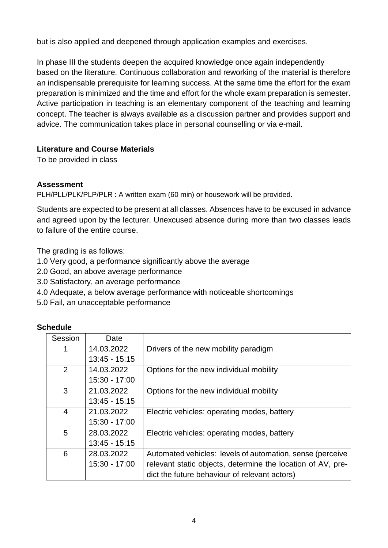but is also applied and deepened through application examples and exercises.

In phase III the students deepen the acquired knowledge once again independently based on the literature. Continuous collaboration and reworking of the material is therefore an indispensable prerequisite for learning success. At the same time the effort for the exam preparation is minimized and the time and effort for the whole exam preparation is semester. Active participation in teaching is an elementary component of the teaching and learning concept. The teacher is always available as a discussion partner and provides support and advice. The communication takes place in personal counselling or via e-mail.

#### **Literature and Course Materials**

To be provided in class

#### **Assessment**

PLH/PLL/PLK/PLP/PLR : A written exam (60 min) or housework will be provided.

Students are expected to be present at all classes. Absences have to be excused in advance and agreed upon by the lecturer. Unexcused absence during more than two classes leads to failure of the entire course.

The grading is as follows:

- 1.0 Very good, a performance significantly above the average
- 2.0 Good, an above average performance
- 3.0 Satisfactory, an average performance
- 4.0 Adequate, a below average performance with noticeable shortcomings
- 5.0 Fail, an unacceptable performance

| Session        | Date            |                                                             |
|----------------|-----------------|-------------------------------------------------------------|
| 1              | 14.03.2022      | Drivers of the new mobility paradigm                        |
|                | $13:45 - 15:15$ |                                                             |
| $\overline{2}$ | 14.03.2022      | Options for the new individual mobility                     |
|                | 15:30 - 17:00   |                                                             |
| 3              | 21.03.2022      | Options for the new individual mobility                     |
|                | $13:45 - 15:15$ |                                                             |
| $\overline{4}$ | 21.03.2022      | Electric vehicles: operating modes, battery                 |
|                | 15:30 - 17:00   |                                                             |
| 5              | 28.03.2022      | Electric vehicles: operating modes, battery                 |
|                | $13:45 - 15:15$ |                                                             |
| 6              | 28.03.2022      | Automated vehicles: levels of automation, sense (perceive   |
|                | 15:30 - 17:00   | relevant static objects, determine the location of AV, pre- |
|                |                 | dict the future behaviour of relevant actors)               |

## **Schedule**